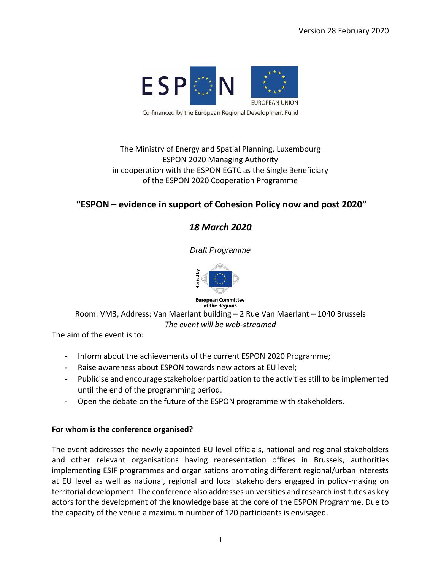

### The Ministry of Energy and Spatial Planning, Luxembourg ESPON 2020 Managing Authority in cooperation with the ESPON EGTC as the Single Beneficiary of the ESPON 2020 Cooperation Programme

## **"ESPON – evidence in support of Cohesion Policy now and post 2020"**

## *18 March 2020*

*Draft Programme* 



**European Committee** of the Regions

Room: VM3, Address: Van Maerlant building – 2 Rue Van Maerlant – 1040 Brussels *The event will be web-streamed* 

The aim of the event is to:

- Inform about the achievements of the current ESPON 2020 Programme;
- Raise awareness about ESPON towards new actors at EU level;
- Publicise and encourage stakeholder participation to the activities still to be implemented until the end of the programming period.
- Open the debate on the future of the ESPON programme with stakeholders.

#### **For whom is the conference organised?**

The event addresses the newly appointed EU level officials, national and regional stakeholders and other relevant organisations having representation offices in Brussels, authorities implementing ESIF programmes and organisations promoting different regional/urban interests at EU level as well as national, regional and local stakeholders engaged in policy-making on territorial development. The conference also addresses universities and research institutes as key actors for the development of the knowledge base at the core of the ESPON Programme. Due to the capacity of the venue a maximum number of 120 participants is envisaged.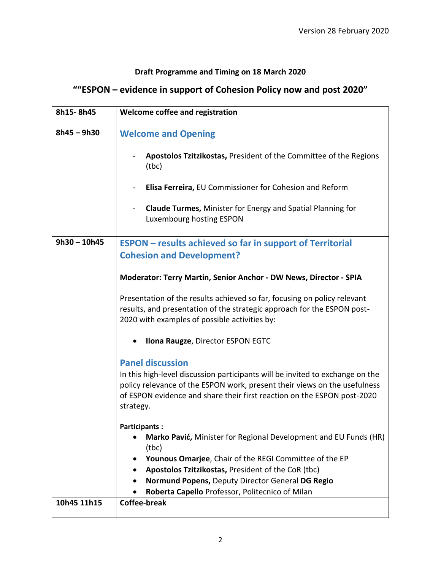## **Draft Programme and Timing on 18 March 2020**

# **""ESPON – evidence in support of Cohesion Policy now and post 2020"**

| 8h15-8h45      | Welcome coffee and registration                                                                                                                                                                                                                    |
|----------------|----------------------------------------------------------------------------------------------------------------------------------------------------------------------------------------------------------------------------------------------------|
| $8h45 - 9h30$  | <b>Welcome and Opening</b>                                                                                                                                                                                                                         |
|                | Apostolos Tzitzikostas, President of the Committee of the Regions<br>(tbc)                                                                                                                                                                         |
|                | Elisa Ferreira, EU Commissioner for Cohesion and Reform                                                                                                                                                                                            |
|                | <b>Claude Turmes, Minister for Energy and Spatial Planning for</b><br>Luxembourg hosting ESPON                                                                                                                                                     |
| $9h30 - 10h45$ | <b>ESPON</b> – results achieved so far in support of Territorial<br><b>Cohesion and Development?</b>                                                                                                                                               |
|                | Moderator: Terry Martin, Senior Anchor - DW News, Director - SPIA                                                                                                                                                                                  |
|                | Presentation of the results achieved so far, focusing on policy relevant<br>results, and presentation of the strategic approach for the ESPON post-<br>2020 with examples of possible activities by:                                               |
|                | Ilona Raugze, Director ESPON EGTC<br>٠                                                                                                                                                                                                             |
|                | <b>Panel discussion</b>                                                                                                                                                                                                                            |
|                | In this high-level discussion participants will be invited to exchange on the<br>policy relevance of the ESPON work, present their views on the usefulness<br>of ESPON evidence and share their first reaction on the ESPON post-2020<br>strategy. |
|                | <b>Participants:</b>                                                                                                                                                                                                                               |
|                | Marko Pavić, Minister for Regional Development and EU Funds (HR)<br>$\bullet$<br>(tbc)                                                                                                                                                             |
|                | Younous Omarjee, Chair of the REGI Committee of the EP                                                                                                                                                                                             |
|                | Apostolos Tzitzikostas, President of the CoR (tbc)                                                                                                                                                                                                 |
|                | Normund Popens, Deputy Director General DG Regio                                                                                                                                                                                                   |
| 10h45 11h15    | Roberta Capello Professor, Politecnico of Milan<br><b>Coffee-break</b>                                                                                                                                                                             |
|                |                                                                                                                                                                                                                                                    |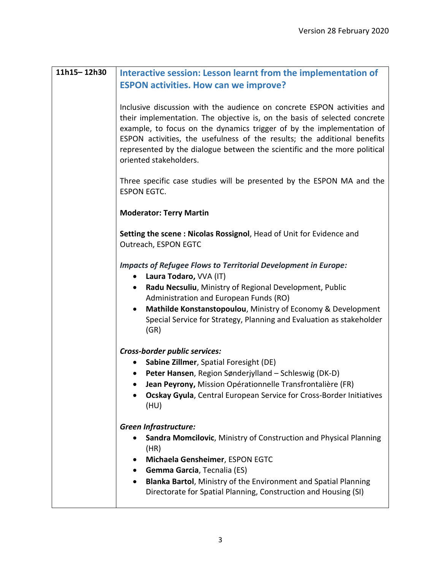| Interactive session: Lesson learnt from the implementation of<br><b>ESPON activities. How can we improve?</b>                                                                                                                                                                                                                                                                                                    |
|------------------------------------------------------------------------------------------------------------------------------------------------------------------------------------------------------------------------------------------------------------------------------------------------------------------------------------------------------------------------------------------------------------------|
| Inclusive discussion with the audience on concrete ESPON activities and<br>their implementation. The objective is, on the basis of selected concrete<br>example, to focus on the dynamics trigger of by the implementation of<br>ESPON activities, the usefulness of the results; the additional benefits<br>represented by the dialogue between the scientific and the more political<br>oriented stakeholders. |
| Three specific case studies will be presented by the ESPON MA and the<br><b>ESPON EGTC.</b>                                                                                                                                                                                                                                                                                                                      |
| <b>Moderator: Terry Martin</b>                                                                                                                                                                                                                                                                                                                                                                                   |
| Setting the scene: Nicolas Rossignol, Head of Unit for Evidence and<br>Outreach, ESPON EGTC                                                                                                                                                                                                                                                                                                                      |
| <b>Impacts of Refugee Flows to Territorial Development in Europe:</b><br>Laura Todaro, VVA (IT)<br>٠<br>Radu Necsuliu, Ministry of Regional Development, Public<br>$\bullet$<br>Administration and European Funds (RO)<br>Mathilde Konstanstopoulou, Ministry of Economy & Development<br>$\bullet$<br>Special Service for Strategy, Planning and Evaluation as stakeholder<br>(GR)                              |
| Cross-border public services:<br>Sabine Zillmer, Spatial Foresight (DE)<br>Peter Hansen, Region Sønderjylland – Schleswig (DK-D)<br>$\bullet$<br>Jean Peyrony, Mission Opérationnelle Transfrontalière (FR)<br>$\bullet$<br>Ocskay Gyula, Central European Service for Cross-Border Initiatives<br>(HU)                                                                                                          |
| <b>Green Infrastructure:</b><br>Sandra Momcilovic, Ministry of Construction and Physical Planning<br>(HR)<br>Michaela Gensheimer, ESPON EGTC<br>Gemma Garcia, Tecnalia (ES)<br>Blanka Bartol, Ministry of the Environment and Spatial Planning<br>$\bullet$<br>Directorate for Spatial Planning, Construction and Housing (SI)                                                                                   |
|                                                                                                                                                                                                                                                                                                                                                                                                                  |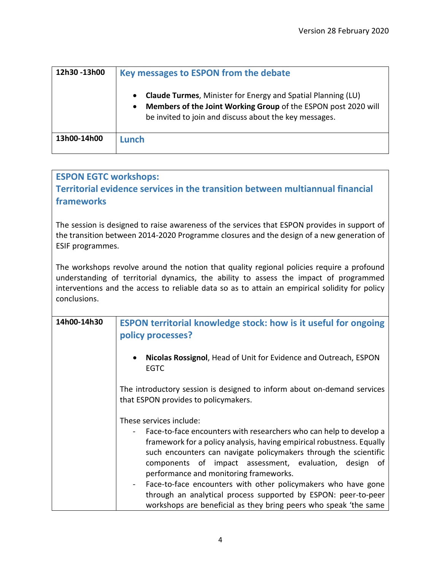| 12h30 -13h00 | Key messages to ESPON from the debate                                                                                                                                                                        |
|--------------|--------------------------------------------------------------------------------------------------------------------------------------------------------------------------------------------------------------|
|              | <b>Claude Turmes, Minister for Energy and Spatial Planning (LU)</b><br>Members of the Joint Working Group of the ESPON post 2020 will<br>$\bullet$<br>be invited to join and discuss about the key messages. |
| 13h00-14h00  | Lunch                                                                                                                                                                                                        |

## **ESPON EGTC workshops:**

**Territorial evidence services in the transition between multiannual financial frameworks**

The session is designed to raise awareness of the services that ESPON provides in support of the transition between 2014-2020 Programme closures and the design of a new generation of ESIF programmes.

The workshops revolve around the notion that quality regional policies require a profound understanding of territorial dynamics, the ability to assess the impact of programmed interventions and the access to reliable data so as to attain an empirical solidity for policy conclusions.

| 14h00-14h30 | <b>ESPON territorial knowledge stock: how is it useful for ongoing</b><br>policy processes?                                                                                                                     |
|-------------|-----------------------------------------------------------------------------------------------------------------------------------------------------------------------------------------------------------------|
|             | Nicolas Rossignol, Head of Unit for Evidence and Outreach, ESPON<br>$\bullet$<br><b>EGTC</b>                                                                                                                    |
|             | The introductory session is designed to inform about on-demand services<br>that ESPON provides to policymakers.                                                                                                 |
|             | These services include:                                                                                                                                                                                         |
|             | Face-to-face encounters with researchers who can help to develop a<br>framework for a policy analysis, having empirical robustness. Equally<br>such encounters can navigate policymakers through the scientific |
|             | components of impact assessment, evaluation, design<br>of                                                                                                                                                       |
|             | performance and monitoring frameworks.                                                                                                                                                                          |
|             | Face-to-face encounters with other policymakers who have gone                                                                                                                                                   |
|             | through an analytical process supported by ESPON: peer-to-peer                                                                                                                                                  |
|             | workshops are beneficial as they bring peers who speak 'the same                                                                                                                                                |